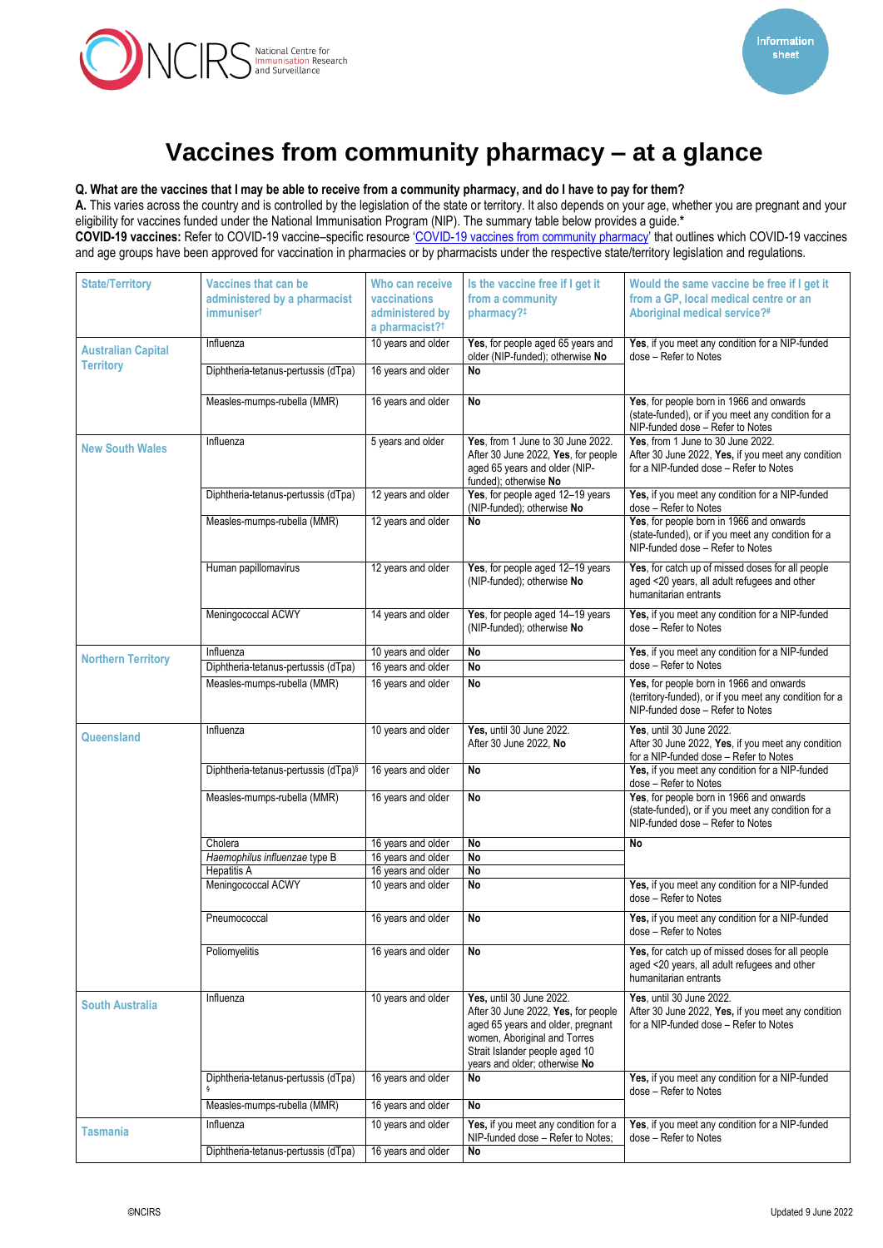

## **Vaccines from community pharmacy – at a glance**

## **Q. What are the vaccines that I may be able to receive from a community pharmacy, and do I have to pay for them?**

**A.** This varies across the country and is controlled by the legislation of the state or territory. It also depends on your age, whether you are pregnant and your eligibility for vaccines funded under the National Immunisation Program (NIP). The summary table below provides a guide.**\***

**COVID-19 vaccines:** Refer to COVID-19 vaccine–specific resource '[COVID-19 vaccines from community pharmacy](https://www.ncirs.org.au/ncirs-fact-sheets-faqs/covid-19-vaccines-from-community-pharmacy)' that outlines which COVID-19 vaccines and age groups have been approved for vaccination in pharmacies or by pharmacists under the respective state/territory legislation and regulations.

| <b>State/Territory</b>                        | <b>Vaccines that can be</b><br>administered by a pharmacist<br><i>immuniser<sup>t</sup></i> | Who can receive<br>vaccinations<br>administered by<br>a pharmacist? <sup>†</sup> | Is the vaccine free if I get it<br>from a community<br>pharmacy?#                                                                                                                                       | Would the same vaccine be free if I get it<br>from a GP, local medical centre or an<br>Aboriginal medical service?#                    |
|-----------------------------------------------|---------------------------------------------------------------------------------------------|----------------------------------------------------------------------------------|---------------------------------------------------------------------------------------------------------------------------------------------------------------------------------------------------------|----------------------------------------------------------------------------------------------------------------------------------------|
| <b>Australian Capital</b><br><b>Territory</b> | Influenza                                                                                   | 10 years and older                                                               | Yes, for people aged 65 years and<br>older (NIP-funded); otherwise No                                                                                                                                   | Yes, if you meet any condition for a NIP-funded<br>dose - Refer to Notes                                                               |
|                                               | Diphtheria-tetanus-pertussis (dTpa)                                                         | 16 years and older                                                               | <b>No</b>                                                                                                                                                                                               |                                                                                                                                        |
|                                               | Measles-mumps-rubella (MMR)                                                                 | 16 years and older                                                               | <b>No</b>                                                                                                                                                                                               | Yes, for people born in 1966 and onwards<br>(state-funded), or if you meet any condition for a<br>NIP-funded dose - Refer to Notes     |
| <b>New South Wales</b>                        | Influenza                                                                                   | 5 years and older                                                                | Yes, from 1 June to 30 June 2022.<br>After 30 June 2022, Yes, for people<br>aged 65 years and older (NIP-<br>funded); otherwise No                                                                      | Yes, from 1 June to 30 June 2022.<br>After 30 June 2022, Yes, if you meet any condition<br>for a NIP-funded dose - Refer to Notes      |
|                                               | Diphtheria-tetanus-pertussis (dTpa)                                                         | 12 years and older                                                               | Yes, for people aged 12-19 years<br>(NIP-funded); otherwise No                                                                                                                                          | Yes, if you meet any condition for a NIP-funded<br>dose - Refer to Notes                                                               |
|                                               | Measles-mumps-rubella (MMR)                                                                 | 12 years and older                                                               | <b>No</b>                                                                                                                                                                                               | Yes, for people born in 1966 and onwards<br>(state-funded), or if you meet any condition for a<br>NIP-funded dose - Refer to Notes     |
|                                               | Human papillomavirus                                                                        | 12 years and older                                                               | Yes, for people aged 12-19 years<br>(NIP-funded); otherwise No                                                                                                                                          | Yes, for catch up of missed doses for all people<br>aged <20 years, all adult refugees and other<br>humanitarian entrants              |
|                                               | Meningococcal ACWY                                                                          | 14 years and older                                                               | Yes, for people aged 14-19 years<br>(NIP-funded); otherwise No                                                                                                                                          | Yes, if you meet any condition for a NIP-funded<br>dose - Refer to Notes                                                               |
|                                               | Influenza                                                                                   | 10 years and older                                                               | <b>No</b>                                                                                                                                                                                               | Yes, if you meet any condition for a NIP-funded                                                                                        |
| <b>Northern Territory</b>                     | Diphtheria-tetanus-pertussis (dTpa)                                                         | 16 years and older                                                               | No                                                                                                                                                                                                      | dose - Refer to Notes                                                                                                                  |
|                                               | Measles-mumps-rubella (MMR)                                                                 | 16 years and older                                                               | <b>No</b>                                                                                                                                                                                               | Yes, for people born in 1966 and onwards<br>(territory-funded), or if you meet any condition for a<br>NIP-funded dose - Refer to Notes |
| <b>Queensland</b>                             | Influenza                                                                                   | 10 years and older                                                               | <b>Yes, until 30 June 2022.</b><br>After 30 June 2022, No                                                                                                                                               | Yes, until 30 June 2022.<br>After 30 June 2022, Yes, if you meet any condition<br>for a NIP-funded dose - Refer to Notes               |
|                                               | Diphtheria-tetanus-pertussis (dTpa)§                                                        | 16 years and older                                                               | <b>No</b>                                                                                                                                                                                               | Yes, if you meet any condition for a NIP-funded<br>dose - Refer to Notes                                                               |
|                                               | Measles-mumps-rubella (MMR)                                                                 | 16 years and older                                                               | <b>No</b>                                                                                                                                                                                               | Yes, for people born in 1966 and onwards<br>(state-funded), or if you meet any condition for a<br>NIP-funded dose - Refer to Notes     |
|                                               | Cholera                                                                                     | 16 years and older                                                               | <b>No</b>                                                                                                                                                                                               | <b>No</b>                                                                                                                              |
|                                               | Haemophilus influenzae type B                                                               | 16 years and older                                                               | <b>No</b>                                                                                                                                                                                               |                                                                                                                                        |
|                                               | <b>Hepatitis A</b>                                                                          | 16 years and older                                                               | <b>No</b>                                                                                                                                                                                               |                                                                                                                                        |
|                                               | Meningococcal ACWY                                                                          | 10 years and older                                                               | <b>No</b>                                                                                                                                                                                               | Yes, if you meet any condition for a NIP-funded<br>dose - Refer to Notes                                                               |
|                                               | Pneumococcal                                                                                | 16 years and older                                                               | <b>No</b>                                                                                                                                                                                               | Yes, if you meet any condition for a NIP-funded<br>dose - Refer to Notes                                                               |
|                                               | Poliomyelitis                                                                               | 16 years and older                                                               | <b>No</b>                                                                                                                                                                                               | Yes, for catch up of missed doses for all people<br>aged <20 years, all adult refugees and other<br>humanitarian entrants              |
| <b>South Australia</b>                        | Influenza                                                                                   | 10 years and older                                                               | Yes, until 30 June 2022.<br>After 30 June 2022, Yes, for people<br>aged 65 years and older, pregnant<br>women, Aboriginal and Torres<br>Strait Islander people aged 10<br>years and older; otherwise No | <b>Yes, until 30 June 2022.</b><br>After 30 June 2022, Yes, if you meet any condition<br>for a NIP-funded dose - Refer to Notes        |
|                                               | Diphtheria-tetanus-pertussis (dTpa)                                                         | 16 years and older                                                               | No                                                                                                                                                                                                      | Yes, if you meet any condition for a NIP-funded<br>dose - Refer to Notes                                                               |
|                                               | Measles-mumps-rubella (MMR)                                                                 | 16 years and older                                                               | <b>No</b>                                                                                                                                                                                               |                                                                                                                                        |
| Tasmania                                      | Influenza                                                                                   | 10 years and older                                                               | Yes, if you meet any condition for a<br>NIP-funded dose - Refer to Notes:                                                                                                                               | Yes, if you meet any condition for a NIP-funded<br>dose - Refer to Notes                                                               |
|                                               | Diphtheria-tetanus-pertussis (dTpa)                                                         | 16 years and older                                                               | No                                                                                                                                                                                                      |                                                                                                                                        |